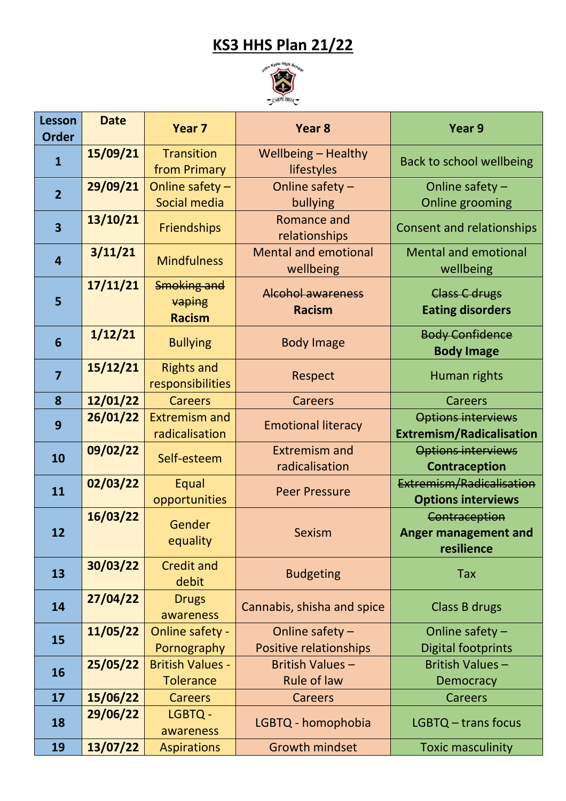## **KS3 HHS Plan 21/22**



| <b>Lesson</b><br><b>Order</b> | <b>Date</b> | Year <sub>7</sub>                             | Year <sub>8</sub>                         | Year 9                                                       |
|-------------------------------|-------------|-----------------------------------------------|-------------------------------------------|--------------------------------------------------------------|
| $\mathbf{1}$                  | 15/09/21    | <b>Transition</b><br>from Primary             | Wellbeing - Healthy<br>lifestyles         | <b>Back to school wellbeing</b>                              |
| $\overline{2}$                | 29/09/21    | Online safety $-$<br>Social media             | Online safety -<br>bullying               | Online safety -<br><b>Online grooming</b>                    |
| $\overline{\mathbf{3}}$       | 13/10/21    | Friendships                                   | Romance and<br>relationships              | <b>Consent and relationships</b>                             |
| $\overline{4}$                | 3/11/21     | <b>Mindfulness</b>                            | <b>Mental and emotional</b><br>wellbeing  | <b>Mental and emotional</b><br>wellbeing                     |
| 5                             | 17/11/21    | <b>Smoking and</b><br>vaping<br><b>Racism</b> | <b>Alcohol awareness</b><br><b>Racism</b> | <b>Class C drugs</b><br><b>Eating disorders</b>              |
| $6\phantom{1}6$               | 1/12/21     | <b>Bullying</b>                               | <b>Body Image</b>                         | <b>Body Confidence</b><br><b>Body Image</b>                  |
| $\overline{7}$                | 15/12/21    | <b>Rights and</b><br>responsibilities         | Respect                                   | Human rights                                                 |
| 8                             | 12/01/22    | <b>Careers</b>                                | <b>Careers</b>                            | <b>Careers</b>                                               |
| 9                             | 26/01/22    | <b>Extremism and</b><br>radicalisation        | <b>Emotional literacy</b>                 | <b>Options interviews</b><br><b>Extremism/Radicalisation</b> |
| 10                            | 09/02/22    | Self-esteem                                   | <b>Extremism and</b>                      | <b>Options interviews</b>                                    |
|                               |             |                                               | radicalisation                            | <b>Contraception</b>                                         |
| 11                            | 02/03/22    | Equal<br>opportunities                        | <b>Peer Pressure</b>                      | Extremism/Radicalisation<br><b>Options interviews</b>        |
| 12                            | 16/03/22    | Gender<br>equality                            | <b>Sexism</b>                             | Contraception<br><b>Anger management and</b><br>resilience   |
| 13                            | 30/03/22    | <b>Credit and</b><br>debit                    | <b>Budgeting</b>                          | <b>Tax</b>                                                   |
| 14                            | 27/04/22    | <b>Drugs</b><br>awareness                     | Cannabis, shisha and spice                | Class B drugs                                                |
| 15                            | 11/05/22    | Online safety -                               | Online safety $-$                         | Online safety $-$                                            |
|                               |             | Pornography                                   | Positive relationships                    | <b>Digital footprints</b>                                    |
| 16                            | 25/05/22    | <b>British Values -</b>                       | <b>British Values -</b>                   | <b>British Values-</b>                                       |
|                               |             | <b>Tolerance</b>                              | <b>Rule of law</b>                        | <b>Democracy</b>                                             |
| 17                            | 15/06/22    | <b>Careers</b>                                | Careers                                   | <b>Careers</b>                                               |
| 18                            | 29/06/22    | LGBTQ -<br>awareness                          | LGBTQ - homophobia                        | LGBTQ - trans focus                                          |
| 19                            | 13/07/22    | <b>Aspirations</b>                            | <b>Growth mindset</b>                     | <b>Toxic masculinity</b>                                     |